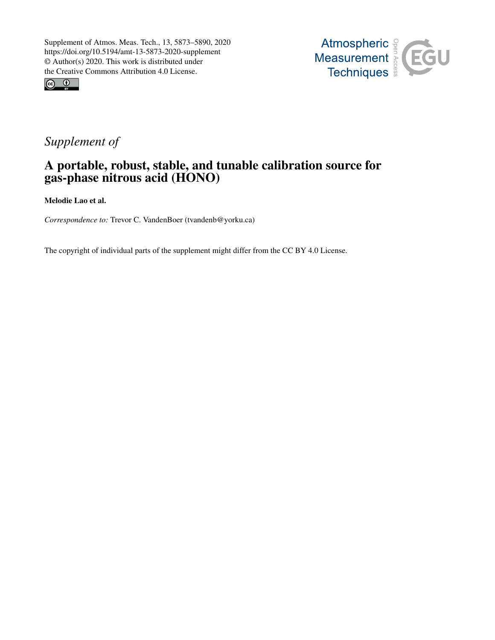



# *Supplement of*

# A portable, robust, stable, and tunable calibration source for gas-phase nitrous acid (HONO)

Melodie Lao et al.

*Correspondence to:* Trevor C. VandenBoer (tvandenb@yorku.ca)

The copyright of individual parts of the supplement might differ from the CC BY 4.0 License.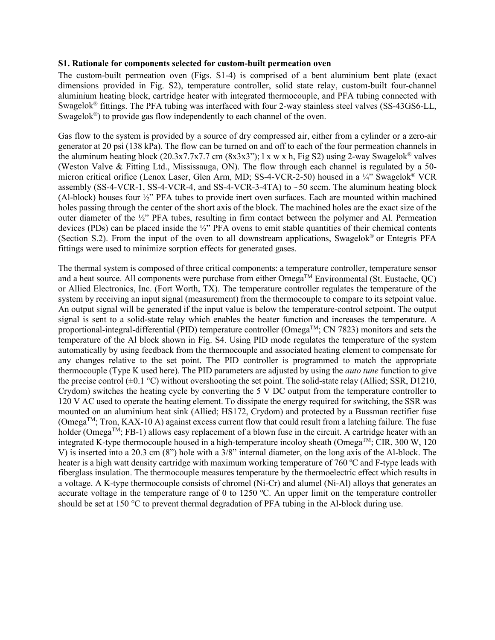#### **S1. Rationale for components selected for custom-built permeation oven**

The custom-built permeation oven (Figs. S1-4) is comprised of a bent aluminium bent plate (exact dimensions provided in Fig. S2), temperature controller, solid state relay, custom-built four-channel aluminium heating block, cartridge heater with integrated thermocouple, and PFA tubing connected with Swagelok® fittings. The PFA tubing was interfaced with four 2-way stainless steel valves (SS-43GS6-LL, Swagelok<sup>®</sup>) to provide gas flow independently to each channel of the oven.

Gas flow to the system is provided by a source of dry compressed air, either from a cylinder or a zero-air generator at 20 psi (138 kPa). The flow can be turned on and off to each of the four permeation channels in the aluminum heating block  $(20.3x7.7x7.7 \text{ cm } (8x3x3)$ ;  $1 \times w \times h$ , Fig S2) using 2-way Swagelok<sup>®</sup> valves (Weston Valve & Fitting Ltd., Mississauga, ON). The flow through each channel is regulated by a 50 micron critical orifice (Lenox Laser, Glen Arm, MD; SS-4-VCR-2-50) housed in a ¼" Swagelok® VCR assembly (SS-4-VCR-1, SS-4-VCR-4, and SS-4-VCR-3-4TA) to  $\sim$  50 sccm. The aluminum heating block (Al-block) houses four ½" PFA tubes to provide inert oven surfaces. Each are mounted within machined holes passing through the center of the short axis of the block. The machined holes are the exact size of the outer diameter of the ½" PFA tubes, resulting in firm contact between the polymer and Al. Permeation devices (PDs) can be placed inside the ½" PFA ovens to emit stable quantities of their chemical contents (Section S.2). From the input of the oven to all downstream applications, Swagelok® or Entegris PFA fittings were used to minimize sorption effects for generated gases.

The thermal system is composed of three critical components: a temperature controller, temperature sensor and a heat source. All components were purchase from either  $Omega^{\text{TM}}$  Environmental (St. Eustache, QC) or Allied Electronics, Inc. (Fort Worth, TX). The temperature controller regulates the temperature of the system by receiving an input signal (measurement) from the thermocouple to compare to its setpoint value. An output signal will be generated if the input value is below the temperature-control setpoint. The output signal is sent to a solid-state relay which enables the heater function and increases the temperature. A proportional-integral-differential (PID) temperature controller ( $Omega<sup>TM</sup>$ ; CN 7823) monitors and sets the temperature of the Al block shown in Fig. S4. Using PID mode regulates the temperature of the system automatically by using feedback from the thermocouple and associated heating element to compensate for any changes relative to the set point. The PID controller is programmed to match the appropriate thermocouple (Type K used here). The PID parameters are adjusted by using the *auto tune* function to give the precise control  $(\pm 0.1 \degree C)$  without overshooting the set point. The solid-state relay (Allied; SSR, D1210, Crydom) switches the heating cycle by converting the 5 V DC output from the temperature controller to 120 V AC used to operate the heating element. To dissipate the energy required for switching, the SSR was mounted on an aluminium heat sink (Allied; HS172, Crydom) and protected by a Bussman rectifier fuse (OmegaTM; Tron, KAX-10 A) against excess current flow that could result from a latching failure. The fuse holder (Omega<sup>TM</sup>; FB-1) allows easy replacement of a blown fuse in the circuit. A cartridge heater with an integrated K-type thermocouple housed in a high-temperature incoloy sheath (Omega<sup>TM</sup>; CIR, 300 W, 120 V) is inserted into a 20.3 cm (8") hole with a 3/8" internal diameter, on the long axis of the Al-block. The heater is a high watt density cartridge with maximum working temperature of 760 ºC and F-type leads with fiberglass insulation. The thermocouple measures temperature by the thermoelectric effect which results in a voltage. A K-type thermocouple consists of chromel (Ni-Cr) and alumel (Ni-Al) alloys that generates an accurate voltage in the temperature range of 0 to 1250 ºC. An upper limit on the temperature controller should be set at 150 °C to prevent thermal degradation of PFA tubing in the Al-block during use.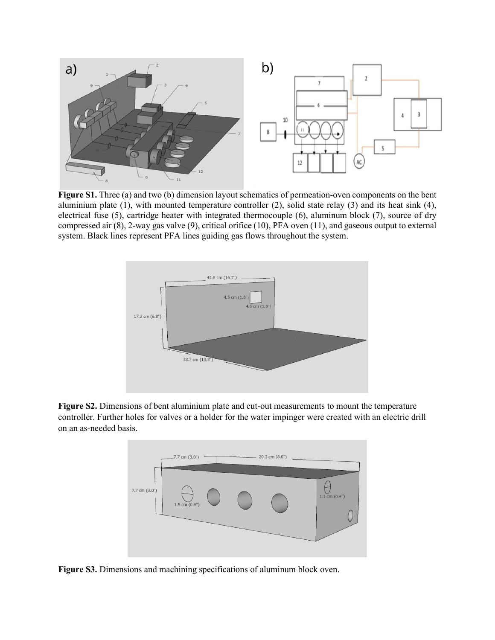

**Figure S1.** Three (a) and two (b) dimension layout schematics of permeation-oven components on the bent aluminium plate (1), with mounted temperature controller (2), solid state relay (3) and its heat sink (4), electrical fuse (5), cartridge heater with integrated thermocouple (6), aluminum block (7), source of dry compressed air (8), 2-way gas valve (9), critical orifice (10), PFA oven (11), and gaseous output to external system. Black lines represent PFA lines guiding gas flows throughout the system.



**Figure S2.** Dimensions of bent aluminium plate and cut-out measurements to mount the temperature controller. Further holes for valves or a holder for the water impinger were created with an electric drill on an as-needed basis.



**Figure S3.** Dimensions and machining specifications of aluminum block oven.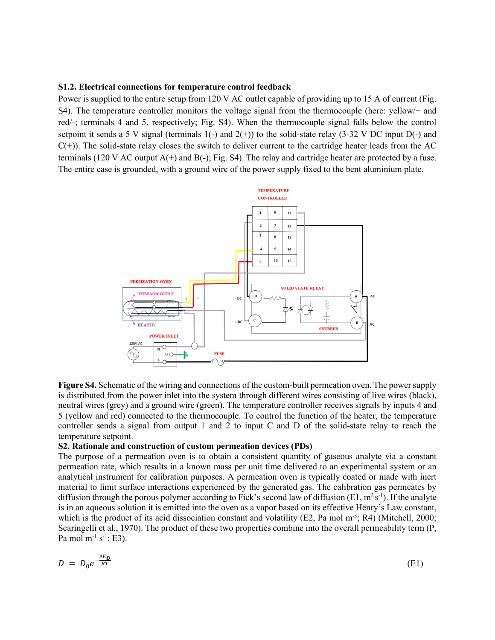#### **S1.2. Electrical connections for temperature control feedback**

Power is supplied to the entire setup from 120 V AC outlet capable of providing up to 15 A of current (Fig. S4). The temperature controller monitors the voltage signal from the thermocouple (here: yellow/+ and red/-; terminals 4 and 5, respectively; Fig. S4). When the thermocouple signal falls below the control setpoint it sends a 5 V signal (terminals  $1(-)$  and  $2(+)$ ) to the solid-state relay (3-32 V DC input D(-) and  $C(+)$ ). The solid-state relay closes the switch to deliver current to the cartridge heater leads from the AC terminals (120 V AC output  $A(+)$  and  $B(-)$ ; Fig. S4). The relay and cartridge heater are protected by a fuse. The entire case is grounded, with a ground wire of the power supply fixed to the bent aluminium plate.



**Figure S4.** Schematic of the wiring and connections of the custom-built permeation oven. The power supply is distributed from the power inlet into the system through different wires consisting of live wires (black), neutral wires (grey) and a ground wire (green). The temperature controller receives signals by inputs 4 and 5 (yellow and red) connected to the thermocouple. To control the function of the heater, the temperature controller sends a signal from output 1 and 2 to input C and D of the solid-state relay to reach the temperature setpoint.

### **S2. Rationale and construction of custom permeation devices (PDs)**

The purpose of a permeation oven is to obtain a consistent quantity of gaseous analyte via a constant permeation rate, which results in a known mass per unit time delivered to an experimental system or an analytical instrument for calibration purposes. A permeation oven is typically coated or made with inert material to limit surface interactions experienced by the generated gas. The calibration gas permeates by diffusion through the porous polymer according to Fick's second law of diffusion  $(E1, m^2 s^{-1})$ . If the analyte is in an aqueous solution it is emitted into the oven as a vapor based on its effective Henry's Law constant, which is the product of its acid dissociation constant and volatility  $(E2, Pa \text{ mol m}^3; R4)$  (Mitchell, 2000; Scaringelli et al., 1970). The product of these two properties combine into the overall permeability term (P, Pa mol m<sup>-1</sup> s<sup>-1</sup>; E3).

$$
D = D_0 e^{-\frac{\Delta E_D}{RT}} \tag{E1}
$$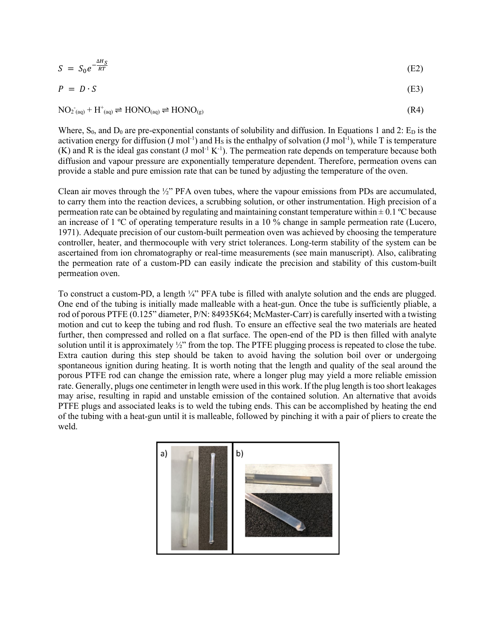$$
S = S_0 e^{-\frac{\Delta H_S}{RT}} \tag{E2}
$$

$$
P = D \cdot S \tag{E3}
$$

$$
NO_2^-(aq) + H^+(aq) \rightleftharpoons HONO(aq) \rightleftharpoons HONO(g)
$$
 (R4)

Where,  $S_0$ , and  $D_0$  are pre-exponential constants of solubility and diffusion. In Equations 1 and 2:  $E_D$  is the activation energy for diffusion (J mol<sup>-1</sup>) and  $H_s$  is the enthalpy of solvation (J mol<sup>-1</sup>), while T is temperature  $(K)$  and R is the ideal gas constant (J mol<sup>-1</sup> K<sup>-1</sup>). The permeation rate depends on temperature because both diffusion and vapour pressure are exponentially temperature dependent. Therefore, permeation ovens can provide a stable and pure emission rate that can be tuned by adjusting the temperature of the oven.

Clean air moves through the  $\frac{1}{2}$ " PFA oven tubes, where the vapour emissions from PDs are accumulated, to carry them into the reaction devices, a scrubbing solution, or other instrumentation. High precision of a permeation rate can be obtained by regulating and maintaining constant temperature within  $\pm$  0.1 °C because an increase of 1 ºC of operating temperature results in a 10 % change in sample permeation rate (Lucero, 1971). Adequate precision of our custom-built permeation oven was achieved by choosing the temperature controller, heater, and thermocouple with very strict tolerances. Long-term stability of the system can be ascertained from ion chromatography or real-time measurements (see main manuscript). Also, calibrating the permeation rate of a custom-PD can easily indicate the precision and stability of this custom-built permeation oven.

To construct a custom-PD, a length ¼" PFA tube is filled with analyte solution and the ends are plugged. One end of the tubing is initially made malleable with a heat-gun. Once the tube is sufficiently pliable, a rod of porous PTFE (0.125" diameter, P/N: 84935K64; McMaster-Carr) is carefully inserted with a twisting motion and cut to keep the tubing and rod flush. To ensure an effective seal the two materials are heated further, then compressed and rolled on a flat surface. The open-end of the PD is then filled with analyte solution until it is approximately ½" from the top. The PTFE plugging process is repeated to close the tube. Extra caution during this step should be taken to avoid having the solution boil over or undergoing spontaneous ignition during heating. It is worth noting that the length and quality of the seal around the porous PTFE rod can change the emission rate, where a longer plug may yield a more reliable emission rate. Generally, plugs one centimeter in length were used in this work. If the plug length is too short leakages may arise, resulting in rapid and unstable emission of the contained solution. An alternative that avoids PTFE plugs and associated leaks is to weld the tubing ends. This can be accomplished by heating the end of the tubing with a heat-gun until it is malleable, followed by pinching it with a pair of pliers to create the weld.

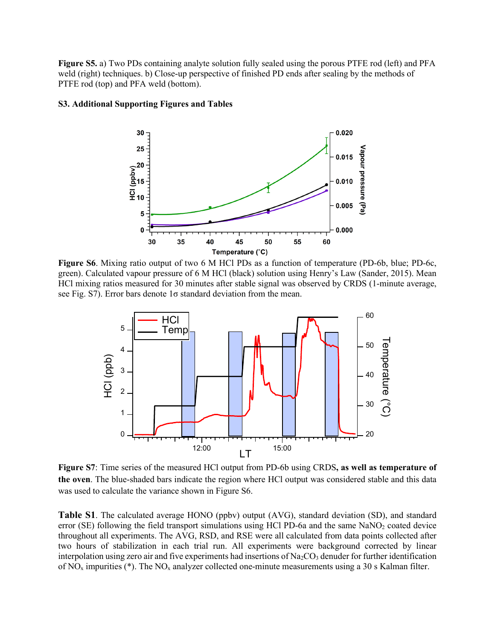**Figure S5.** a) Two PDs containing analyte solution fully sealed using the porous PTFE rod (left) and PFA weld (right) techniques. b) Close-up perspective of finished PD ends after sealing by the methods of PTFE rod (top) and PFA weld (bottom).

#### **S3. Additional Supporting Figures and Tables**



**Figure S6**. Mixing ratio output of two 6 M HCl PDs as a function of temperature (PD-6b, blue; PD-6c, green). Calculated vapour pressure of 6 M HCl (black) solution using Henry's Law (Sander, 2015). Mean HCl mixing ratios measured for 30 minutes after stable signal was observed by CRDS (1-minute average, see Fig. S7). Error bars denote 1σ standard deviation from the mean.



**Figure S7**: Time series of the measured HCl output from PD-6b using CRDS**, as well as temperature of the oven**. The blue-shaded bars indicate the region where HCl output was considered stable and this data was used to calculate the variance shown in Figure S6.

**Table S1**. The calculated average HONO (ppbv) output (AVG), standard deviation (SD), and standard error (SE) following the field transport simulations using HCl PD-6a and the same  $\text{NaNO}_2$  coated device throughout all experiments. The AVG, RSD, and RSE were all calculated from data points collected after two hours of stabilization in each trial run. All experiments were background corrected by linear interpolation using zero air and five experiments had insertions of  $\text{Na}_2\text{CO}_3$  denuder for further identification of  $NO<sub>x</sub>$  impurities (\*). The  $NO<sub>x</sub>$  analyzer collected one-minute measurements using a 30 s Kalman filter.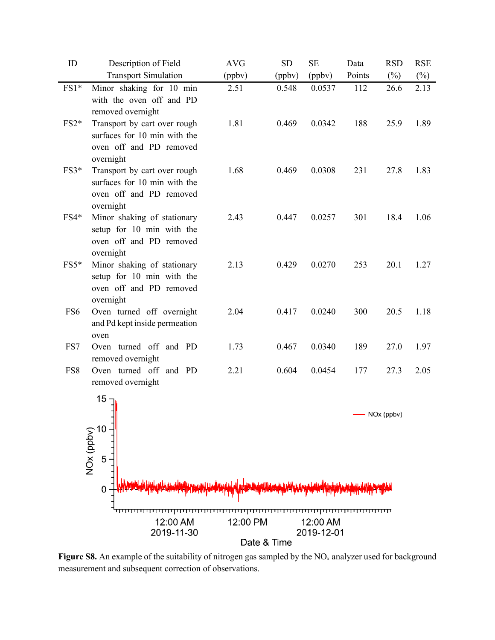| ID                                              | Description of Field                                                                                 | <b>AVG</b> | <b>SD</b> | <b>SE</b> | Data   | <b>RSD</b> | <b>RSE</b> |
|-------------------------------------------------|------------------------------------------------------------------------------------------------------|------------|-----------|-----------|--------|------------|------------|
|                                                 | <b>Transport Simulation</b>                                                                          | (ppbv)     | (ppbv)    | (ppbv)    | Points | $(\%)$     | $(\%)$     |
| $FS1*$                                          | Minor shaking for 10 min<br>with the oven off and PD<br>removed overnight                            | 2.51       | 0.548     | 0.0537    | 112    | 26.6       | 2.13       |
| $FS2*$                                          | Transport by cart over rough<br>surfaces for 10 min with the<br>oven off and PD removed<br>overnight | 1.81       | 0.469     | 0.0342    | 188    | 25.9       | 1.89       |
| $FS3*$                                          | Transport by cart over rough<br>surfaces for 10 min with the<br>oven off and PD removed<br>overnight | 1.68       | 0.469     | 0.0308    | 231    | 27.8       | 1.83       |
| $FS4*$                                          | Minor shaking of stationary<br>setup for 10 min with the<br>oven off and PD removed<br>overnight     | 2.43       | 0.447     | 0.0257    | 301    | 18.4       | 1.06       |
| $FS5*$                                          | Minor shaking of stationary<br>setup for 10 min with the<br>oven off and PD removed<br>overnight     | 2.13       | 0.429     | 0.0270    | 253    | 20.1       | 1.27       |
| FS <sub>6</sub>                                 | Oven turned off overnight<br>and Pd kept inside permeation<br>oven                                   | 2.04       | 0.417     | 0.0240    | 300    | 20.5       | 1.18       |
| FS7                                             | Oven turned off and PD<br>removed overnight                                                          | 1.73       | 0.467     | 0.0340    | 189    | 27.0       | 1.97       |
| FS8                                             | Oven turned off and PD<br>removed overnight<br>$15 -$                                                | 2.21       | 0.604     | 0.0454    | 177    | 27.3       | 2.05       |
| NOx (ppbv)<br>10<br>NO <sub>x</sub> (ppbv)<br>5 |                                                                                                      |            |           |           |        |            |            |
| 0                                               |                                                                                                      |            |           |           |        |            |            |
|                                                 | 12:00 AM<br>12:00 PM<br>12:00 AM<br>2019-11-30<br>2019-12-01<br>Date & Time                          |            |           |           |        |            |            |

**Figure S8.** An example of the suitability of nitrogen gas sampled by the NO<sub>x</sub> analyzer used for background measurement and subsequent correction of observations.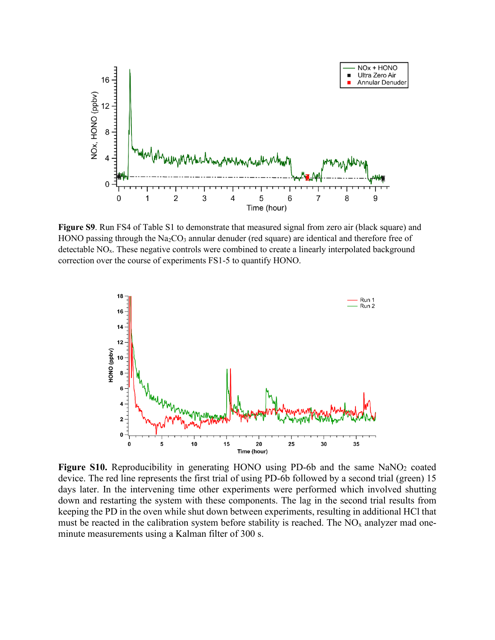

**Figure S9**. Run FS4 of Table S1 to demonstrate that measured signal from zero air (black square) and HONO passing through the  $Na<sub>2</sub>CO<sub>3</sub>$  annular denuder (red square) are identical and therefore free of detectable NO<sub>x</sub>. These negative controls were combined to create a linearly interpolated background correction over the course of experiments FS1-5 to quantify HONO.



Figure S10. Reproducibility in generating HONO using PD-6b and the same NaNO<sub>2</sub> coated device. The red line represents the first trial of using PD-6b followed by a second trial (green) 15 days later. In the intervening time other experiments were performed which involved shutting down and restarting the system with these components. The lag in the second trial results from keeping the PD in the oven while shut down between experiments, resulting in additional HCl that must be reacted in the calibration system before stability is reached. The  $NO<sub>x</sub>$  analyzer mad oneminute measurements using a Kalman filter of 300 s.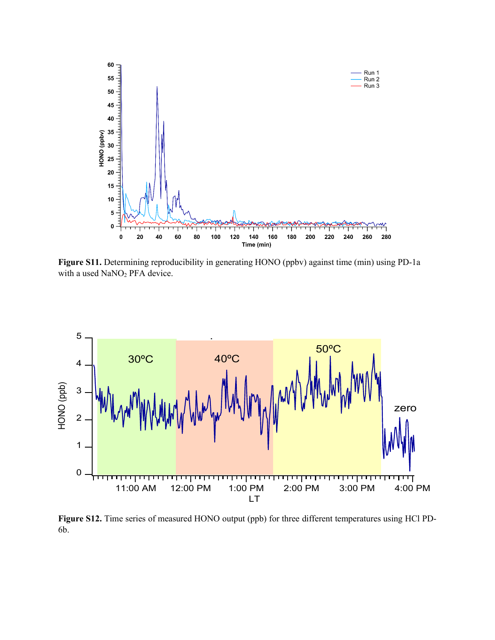

**Figure S11.** Determining reproducibility in generating HONO (ppbv) against time (min) using PD-1a with a used NaNO<sub>2</sub> PFA device.



**Figure S12.** Time series of measured HONO output (ppb) for three different temperatures using HCl PD-6b.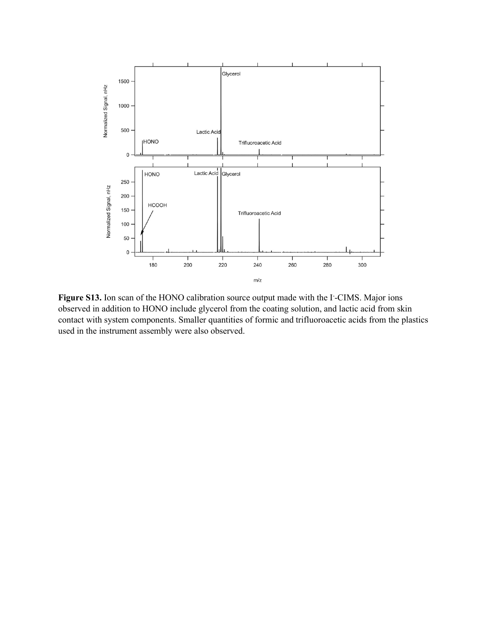

Figure S13. Ion scan of the HONO calibration source output made with the I-CIMS. Major ions observed in addition to HONO include glycerol from the coating solution, and lactic acid from skin contact with system components. Smaller quantities of formic and trifluoroacetic acids from the plastics used in the instrument assembly were also observed.